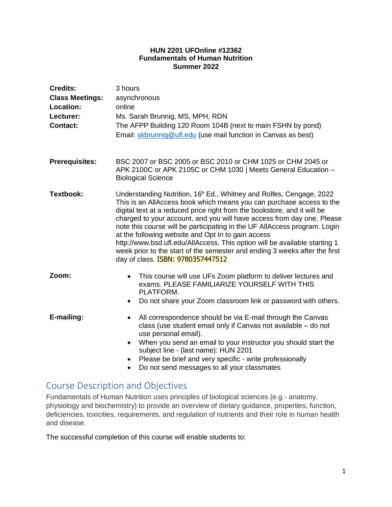#### **HUN 2201 UFOnline #12362 Fundamentals of Human Nutrition Summer 2022**

| <b>Credits:</b><br><b>Class Meetings:</b><br>Location:<br>Lecturer:<br><b>Contact:</b> | 3 hours<br>asynchronous<br>online<br>Ms. Sarah Brunnig, MS, MPH, RDN<br>The AFPP Building 120 Room 104B (next to main FSHN by pond)<br>Email: skbrunnig@ufl.edu (use mail function in Canvas as best)                                                                                                                                                                                                                                                                                                                                                                                                                                                    |  |  |  |
|----------------------------------------------------------------------------------------|----------------------------------------------------------------------------------------------------------------------------------------------------------------------------------------------------------------------------------------------------------------------------------------------------------------------------------------------------------------------------------------------------------------------------------------------------------------------------------------------------------------------------------------------------------------------------------------------------------------------------------------------------------|--|--|--|
| <b>Prerequisites:</b>                                                                  | BSC 2007 or BSC 2005 or BSC 2010 or CHM 1025 or CHM 2045 or<br>APK 2100C or APK 2105C or CHM 1030   Meets General Education -<br><b>Biological Science</b>                                                                                                                                                                                                                                                                                                                                                                                                                                                                                               |  |  |  |
| Textbook:                                                                              | Understanding Nutrition, 16 <sup>h</sup> Ed., Whitney and Rolfes, Cengage, 2022<br>This is an AllAccess book which means you can purchase access to the<br>digital text at a reduced price right from the bookstore, and it will be<br>charged to your account, and you will have access from day one. Please<br>note this course will be participating in the UF AllAccess program. Login<br>at the following website and Opt In to gain access<br>http://www.bsd.ufl.edu/AllAccess. This option will be available starting 1<br>week prior to the start of the semester and ending 3 weeks after the first<br>day of class. <b>ISBN: 9780357447512</b> |  |  |  |
| Zoom:                                                                                  | This course will use UFs Zoom platform to deliver lectures and<br>$\bullet$<br>exams, PLEASE FAMILIARIZE YOURSELF WITH THIS<br>PLATFORM.<br>Do not share your Zoom classroom link or password with others.<br>٠                                                                                                                                                                                                                                                                                                                                                                                                                                          |  |  |  |
| E-mailing:                                                                             | All correspondence should be via E-mail through the Canvas<br>$\bullet$<br>class (use student email only if Canvas not available - do not<br>use personal email).<br>When you send an email to your instructor you should start the<br>٠<br>subject line - (last name): HUN 2201<br>Please be brief and very specific - write professionally<br>Do not send messages to all your classmates<br>$\bullet$                                                                                                                                                                                                                                                 |  |  |  |

# Course Description and Objectives

Fundamentals of Human Nutrition uses principles of biological sciences (e.g.- anatomy, physiology and biochemistry) to provide an overview of dietary guidance, properties, function, deficiencies, toxicities, requirements, and regulation of nutrients and their role in human health and disease.

The successful completion of this course will enable students to: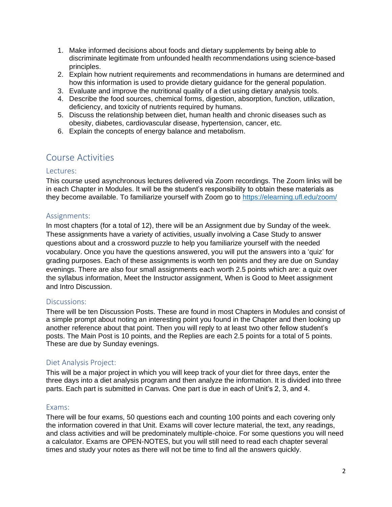- 1. Make informed decisions about foods and dietary supplements by being able to discriminate legitimate from unfounded health recommendations using science-based principles.
- 2. Explain how nutrient requirements and recommendations in humans are determined and how this information is used to provide dietary guidance for the general population.
- 3. Evaluate and improve the nutritional quality of a diet using dietary analysis tools.
- 4. Describe the food sources, chemical forms, digestion, absorption, function, utilization, deficiency, and toxicity of nutrients required by humans.
- 5. Discuss the relationship between diet, human health and chronic diseases such as obesity, diabetes, cardiovascular disease, hypertension, cancer, etc.
- 6. Explain the concepts of energy balance and metabolism.

# Course Activities

### Lectures:

This course used asynchronous lectures delivered via Zoom recordings. The Zoom links will be in each Chapter in Modules. It will be the student's responsibility to obtain these materials as they become available. To familiarize yourself with Zoom go to<https://elearning.ufl.edu/zoom/>

### Assignments:

In most chapters (for a total of 12), there will be an Assignment due by Sunday of the week. These assignments have a variety of activities, usually involving a Case Study to answer questions about and a crossword puzzle to help you familiarize yourself with the needed vocabulary. Once you have the questions answered, you will put the answers into a 'quiz' for grading purposes. Each of these assignments is worth ten points and they are due on Sunday evenings. There are also four small assignments each worth 2.5 points which are: a quiz over the syllabus information, Meet the Instructor assignment, When is Good to Meet assignment and Intro Discussion.

# Discussions:

There will be ten Discussion Posts. These are found in most Chapters in Modules and consist of a simple prompt about noting an interesting point you found in the Chapter and then looking up another reference about that point. Then you will reply to at least two other fellow student's posts. The Main Post is 10 points, and the Replies are each 2.5 points for a total of 5 points. These are due by Sunday evenings.

# Diet Analysis Project:

This will be a major project in which you will keep track of your diet for three days, enter the three days into a diet analysis program and then analyze the information. It is divided into three parts. Each part is submitted in Canvas. One part is due in each of Unit's 2, 3, and 4.

#### Exams:

There will be four exams, 50 questions each and counting 100 points and each covering only the information covered in that Unit. Exams will cover lecture material, the text, any readings, and class activities and will be predominately multiple-choice. For some questions you will need a calculator. Exams are OPEN-NOTES, but you will still need to read each chapter several times and study your notes as there will not be time to find all the answers quickly.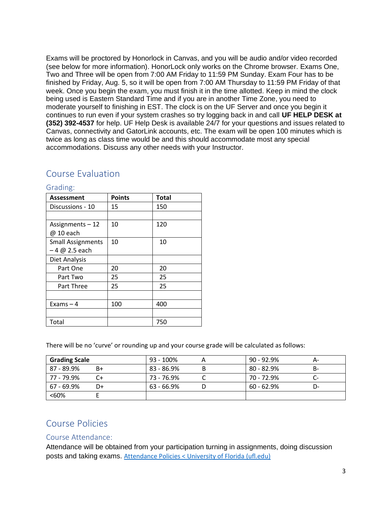Exams will be proctored by Honorlock in Canvas, and you will be audio and/or video recorded (see below for more information). HonorLock only works on the Chrome browser. Exams One, Two and Three will be open from 7:00 AM Friday to 11:59 PM Sunday. Exam Four has to be finished by Friday, Aug. 5, so it will be open from 7:00 AM Thursday to 11:59 PM Friday of that week. Once you begin the exam, you must finish it in the time allotted. Keep in mind the clock being used is Eastern Standard Time and if you are in another Time Zone, you need to moderate yourself to finishing in EST. The clock is on the UF Server and once you begin it continues to run even if your system crashes so try logging back in and call **UF HELP DESK at (352) 392-4537** for help. UF Help Desk is available 24/7 for your questions and issues related to Canvas, connectivity and GatorLink accounts, etc. The exam will be open 100 minutes which is twice as long as class time would be and this should accommodate most any special accommodations. Discuss any other needs with your Instructor.

# Course Evaluation

| <b>Assessment</b>        | <b>Points</b> | <b>Total</b> |
|--------------------------|---------------|--------------|
| Discussions - 10         | 15            | 150          |
|                          |               |              |
| Assignments-12           | 10            | 120          |
| @ 10 each                |               |              |
| <b>Small Assignments</b> | 10            | 10           |
| $-4 @ 2.5 each$          |               |              |
| Diet Analysis            |               |              |
| Part One                 | 20            | 20           |
| Part Two                 | 25            | 25           |
| Part Three               | 25            | 25           |
|                          |               |              |
| Exams $-4$               | 100           | 400          |
|                          |               |              |
| Total                    |               | 750          |

#### Grading:

There will be no 'curve' or rounding up and your course grade will be calculated as follows:

| <b>Grading Scale</b> |    | 93 - 100%  | $90 - 92.9\%$ | А-   |
|----------------------|----|------------|---------------|------|
| 87 - 89.9%           | B+ | 83 - 86.9% | $80 - 82.9%$  |      |
| 77 - 79.9%           |    | 73 - 76.9% | 70 - 72.9%    |      |
| 67 - 69.9%           | D+ | 63 - 66.9% | $60 - 62.9%$  | I )- |
| <60%                 |    |            |               |      |

# Course Policies

#### Course Attendance:

Attendance will be obtained from your participation turning in assignments, doing discussion posts and taking exams. [Attendance Policies < University of Florida \(ufl.edu\)](https://catalog.ufl.edu/UGRD/academic-regulations/attendance-policies/)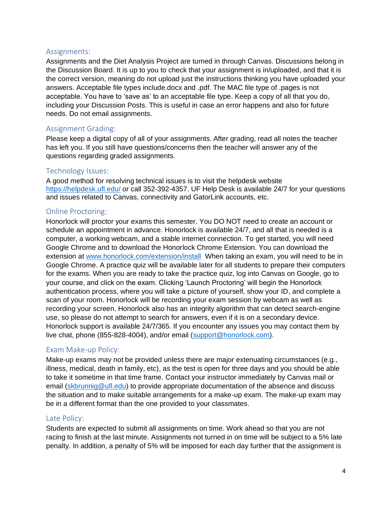# Assignments:

Assignments and the Diet Analysis Project are turned in through Canvas. Discussions belong in the Discussion Board. It is up to you to check that your assignment is in/uploaded, and that it is the correct version, meaning do not upload just the instructions thinking you have uploaded your answers. Acceptable file types include.docx and .pdf. The MAC file type of .pages is not acceptable. You have to 'save as' to an acceptable file type. Keep a copy of all that you do, including your Discussion Posts. This is useful in case an error happens and also for future needs. Do not email assignments.

# Assignment Grading:

Please keep a digital copy of all of your assignments. After grading, read all notes the teacher has left you. If you still have questions/concerns then the teacher will answer any of the questions regarding graded assignments.

# Technology Issues:

A good method for resolving technical issues is to visit the helpdesk website <https://helpdesk.ufl.edu/> or call 352-392-4357. UF Help Desk is available 24/7 for your questions and issues related to Canvas, connectivity and GatorLink accounts, etc.

# Online Proctoring:

Honorlock will proctor your exams this semester. You DO NOT need to create an account or schedule an appointment in advance. Honorlock is available 24/7, and all that is needed is a computer, a working webcam, and a stable internet connection. To get started, you will need Google Chrome and to download the Honorlock Chrome Extension. You can download the extension at [www.honorlock.com/extension/install](http://www.honorlock.com/extension/install) When taking an exam, you will need to be in Google Chrome. A practice quiz will be available later for all students to prepare their computers for the exams. When you are ready to take the practice quiz, log into Canvas on Google, go to your course, and click on the exam. Clicking 'Launch Proctoring' will begin the Honorlock authentication process, where you will take a picture of yourself, show your ID, and complete a scan of your room. Honorlock will be recording your exam session by webcam as well as recording your screen. Honorlock also has an integrity algorithm that can detect search-engine use, so please do not attempt to search for answers, even if it is on a secondary device. Honorlock support is available 24/7/365. If you encounter any issues you may contact them by live chat, phone (855-828-4004), and/or email [\(support@honorlock.com\)](mailto:support@honorlock.com).

# Exam Make-up Policy:

Make-up exams may not be provided unless there are major extenuating circumstances (e.g., illness, medical, death in family, etc), as the test is open for three days and you should be able to take it sometime in that time frame. Contact your instructor immediately by Canvas mail or email [\(skbrunnig@ufl.edu\)](mailto:skbrunnig@ufl.edu) to provide appropriate documentation of the absence and discuss the situation and to make suitable arrangements for a make-up exam. The make-up exam may be in a different format than the one provided to your classmates.

# Late Policy:

Students are expected to submit all assignments on time. Work ahead so that you are not racing to finish at the last minute. Assignments not turned in on time will be subject to a 5% late penalty. In addition, a penalty of 5% will be imposed for each day further that the assignment is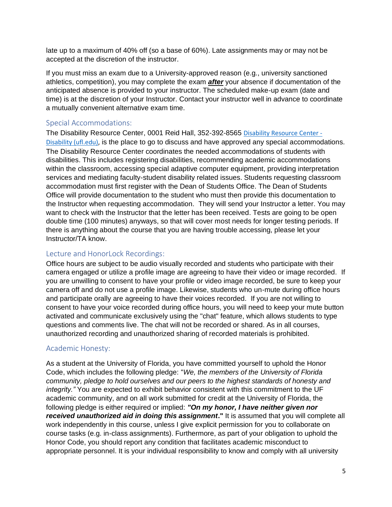late up to a maximum of 40% off (so a base of 60%). Late assignments may or may not be accepted at the discretion of the instructor.

If you must miss an exam due to a University-approved reason (e.g., university sanctioned athletics, competition), you may complete the exam *after* your absence if documentation of the anticipated absence is provided to your instructor. The scheduled make-up exam (date and time) is at the discretion of your Instructor. Contact your instructor well in advance to coordinate a mutually convenient alternative exam time.

### Special Accommodations:

The Disability Resource Center, 0001 Reid Hall, 352-392-8565 [Disability Resource Center -](https://disability.ufl.edu/) [Disability \(ufl.edu\),](https://disability.ufl.edu/) is the place to go to discuss and have approved any special accommodations. The Disability Resource Center coordinates the needed accommodations of students with disabilities. This includes registering disabilities, recommending academic accommodations within the classroom, accessing special adaptive computer equipment, providing interpretation services and mediating faculty-student disability related issues. Students requesting classroom accommodation must first register with the Dean of Students Office. The Dean of Students Office will provide documentation to the student who must then provide this documentation to the Instructor when requesting accommodation. They will send your Instructor a letter. You may want to check with the Instructor that the letter has been received. Tests are going to be open double time (100 minutes) anyways, so that will cover most needs for longer testing periods. If there is anything about the course that you are having trouble accessing, please let your Instructor/TA know.

# Lecture and HonorLock Recordings:

Office hours are subject to be audio visually recorded and students who participate with their camera engaged or utilize a profile image are agreeing to have their video or image recorded. If you are unwilling to consent to have your profile or video image recorded, be sure to keep your camera off and do not use a profile image. Likewise, students who un-mute during office hours and participate orally are agreeing to have their voices recorded. If you are not willing to consent to have your voice recorded during office hours, you will need to keep your mute button activated and communicate exclusively using the "chat" feature, which allows students to type questions and comments live. The chat will not be recorded or shared. As in all courses, unauthorized recording and unauthorized sharing of recorded materials is prohibited.

# Academic Honesty:

As a student at the University of Florida, you have committed yourself to uphold the Honor Code, which includes the following pledge: "*We, the members of the University of Florida community, pledge to hold ourselves and our peers to the highest standards of honesty and integrity."* You are expected to exhibit behavior consistent with this commitment to the UF academic community, and on all work submitted for credit at the University of Florida, the following pledge is either required or implied: *"On my honor, I have neither given nor received unauthorized aid in doing this assignment***."** It is assumed that you will complete all work independently in this course, unless I give explicit permission for you to collaborate on course tasks (e.g. in-class assignments). Furthermore, as part of your obligation to uphold the Honor Code, you should report any condition that facilitates academic misconduct to appropriate personnel. It is your individual responsibility to know and comply with all university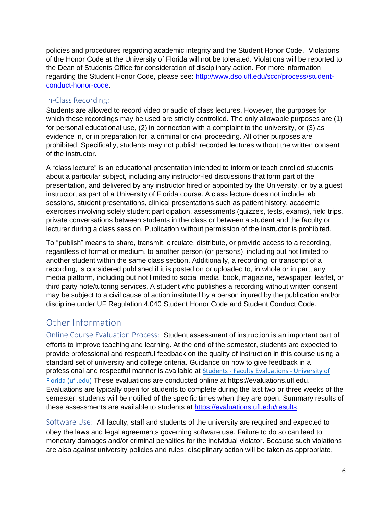policies and procedures regarding academic integrity and the Student Honor Code. Violations of the Honor Code at the University of Florida will not be tolerated. Violations will be reported to the Dean of Students Office for consideration of disciplinary action. For more information regarding the Student Honor Code, please see: [http://www.dso.ufl.edu/sccr/process/student](http://www.dso.ufl.edu/sccr/process/student-conduct-honor-code)[conduct-honor-code.](http://www.dso.ufl.edu/sccr/process/student-conduct-honor-code)

# In-Class Recording:

Students are allowed to record video or audio of class lectures. However, the purposes for which these recordings may be used are strictly controlled. The only allowable purposes are (1) for personal educational use, (2) in connection with a complaint to the university, or (3) as evidence in, or in preparation for, a criminal or civil proceeding. All other purposes are prohibited. Specifically, students may not publish recorded lectures without the written consent of the instructor.

A "class lecture" is an educational presentation intended to inform or teach enrolled students about a particular subject, including any instructor-led discussions that form part of the presentation, and delivered by any instructor hired or appointed by the University, or by a guest instructor, as part of a University of Florida course. A class lecture does not include lab sessions, student presentations, clinical presentations such as patient history, academic exercises involving solely student participation, assessments (quizzes, tests, exams), field trips, private conversations between students in the class or between a student and the faculty or lecturer during a class session. Publication without permission of the instructor is prohibited.

To "publish" means to share, transmit, circulate, distribute, or provide access to a recording, regardless of format or medium, to another person (or persons), including but not limited to another student within the same class section. Additionally, a recording, or transcript of a recording, is considered published if it is posted on or uploaded to, in whole or in part, any media platform, including but not limited to social media, book, magazine, newspaper, leaflet, or third party note/tutoring services. A student who publishes a recording without written consent may be subject to a civil cause of action instituted by a person injured by the publication and/or discipline under UF Regulation 4.040 Student Honor Code and Student Conduct Code.

# Other Information

Online Course Evaluation Process:Student assessment of instruction is an important part of efforts to improve teaching and learning. At the end of the semester, students are expected to provide professional and respectful feedback on the quality of instruction in this course using a standard set of university and college criteria. Guidance on how to give feedback in a professional and respectful manner is available at Students - [Faculty Evaluations -](https://gatorevals.aa.ufl.edu/students/) University of [Florida \(ufl.edu\)](https://gatorevals.aa.ufl.edu/students/) These evaluations are conducted online at https://evaluations.ufl.edu. Evaluations are typically open for students to complete during the last two or three weeks of the semester; students will be notified of the specific times when they are open. Summary results of these assessments are available to students at [https://evaluations.ufl.edu/results.](https://evaluations.ufl.edu/results)

Software Use:All faculty, staff and students of the university are required and expected to obey the laws and legal agreements governing software use. Failure to do so can lead to monetary damages and/or criminal penalties for the individual violator. Because such violations are also against university policies and rules, disciplinary action will be taken as appropriate.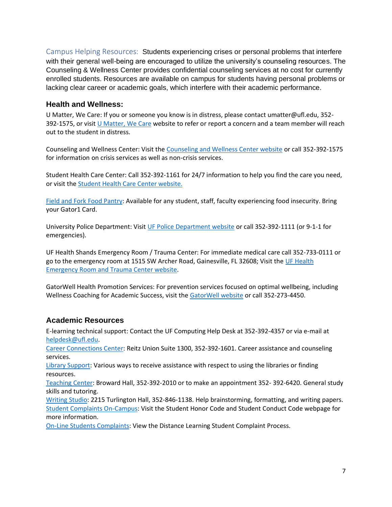Campus Helping Resources:Students experiencing crises or personal problems that interfere with their general well-being are encouraged to utilize the university's counseling resources. The Counseling & Wellness Center provides confidential counseling services at no cost for currently enrolled students. Resources are available on campus for students having personal problems or lacking clear career or academic goals, which interfere with their academic performance.

### **Health and Wellness:**

U Matter, We Care: If you or someone you know is in distress, please contact umatter@ufl.edu, 352- 392-1575, or visit [U Matter, We Care](https://umatter.ufl.edu/) website to refer or report a concern and a team member will reach out to the student in distress.

Counseling and Wellness Center: Visit the [Counseling and Wellness Center website](https://counseling.ufl.edu/) or call 352-392-1575 for information on crisis services as well as non-crisis services.

Student Health Care Center: Call 352-392-1161 for 24/7 information to help you find the care you need, or visit the [Student Health Care Center website.](https://shcc.ufl.edu/)

[Field and Fork Food Pantry:](https://pantry.fieldandfork.ufl.edu/) Available for any student, staff, faculty experiencing food insecurity. Bring your Gator1 Card.

University Police Department: Visit [UF Police Department website](https://police.ufl.edu/) or call 352-392-1111 (or 9-1-1 for emergencies).

UF Health Shands Emergency Room / Trauma Center: For immediate medical care call 352-733-0111 or go to the emergency room at 1515 SW Archer Road, Gainesville, FL 32608; Visit the [UF Health](https://ufhealth.org/emergency-room-trauma-center)  [Emergency Room and Trauma Center website.](https://ufhealth.org/emergency-room-trauma-center)

GatorWell Health Promotion Services: For prevention services focused on optimal wellbeing, including Wellness Coaching for Academic Success, visit the [GatorWell website](https://gatorwell.ufsa.ufl.edu/) or call 352-273-4450.

# **Academic Resources**

E-learning technical support: Contact the UF Computing Help Desk at 352-392-4357 or via e-mail at [helpdesk@ufl.edu.](mailto:helpdesk@ufl.edu)

[Career Connections Center:](https://career.ufl.edu/) Reitz Union Suite 1300, 352-392-1601. Career assistance and counseling services.

[Library Support:](https://uflib.ufl.edu/find/ask/) Various ways to receive assistance with respect to using the libraries or finding resources.

[Teaching Center:](https://teachingcenter.ufl.edu/) Broward Hall, 352-392-2010 or to make an appointment 352- 392-6420. General study skills and tutoring.

[Writing Studio:](https://writing.ufl.edu/writing-studio/) 2215 Turlington Hall, 352-846-1138. Help brainstorming, formatting, and writing papers. [Student Complaints On-Campus:](https://sccr.dso.ufl.edu/policies/student-honor-%20code-student-conduct-code/) Visit the Student Honor Code and Student Conduct Code webpage for more information.

[On-Line Students Complaints:](https://distance.ufl.edu/getting-help/student-complaint-process/) View the Distance Learning Student Complaint Process.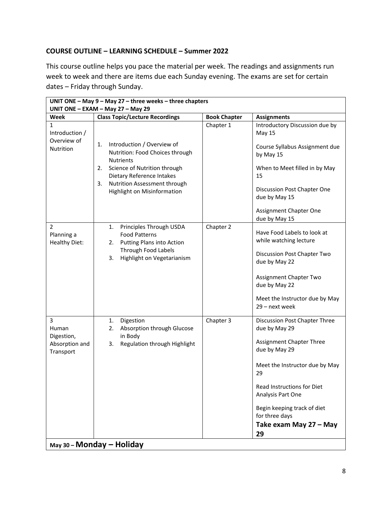## **COURSE OUTLINE – LEARNING SCHEDULE – Summer 2022**

This course outline helps you pace the material per week. The readings and assignments run week to week and there are items due each Sunday evening. The exams are set for certain dates – Friday through Sunday.

| UNIT ONE $-$ May 9 $-$ May 27 $-$ three weeks $-$ three chapters<br>UNIT ONE - EXAM - May 27 - May 29 |                                                                                                                                                                                                                                 |                     |                                                                                                                                                                                                                                                                         |  |
|-------------------------------------------------------------------------------------------------------|---------------------------------------------------------------------------------------------------------------------------------------------------------------------------------------------------------------------------------|---------------------|-------------------------------------------------------------------------------------------------------------------------------------------------------------------------------------------------------------------------------------------------------------------------|--|
| Week                                                                                                  | <b>Class Topic/Lecture Recordings</b>                                                                                                                                                                                           | <b>Book Chapter</b> | <b>Assignments</b>                                                                                                                                                                                                                                                      |  |
| 1<br>Introduction /<br>Overview of<br><b>Nutrition</b>                                                | Introduction / Overview of<br>1.<br>Nutrition: Food Choices through<br><b>Nutrients</b><br>Science of Nutrition through<br>2.<br>Dietary Reference Intakes<br>Nutrition Assessment through<br>3.<br>Highlight on Misinformation | Chapter 1           | Introductory Discussion due by<br>May 15<br>Course Syllabus Assignment due<br>by May 15<br>When to Meet filled in by May<br>15<br>Discussion Post Chapter One<br>due by May 15<br>Assignment Chapter One                                                                |  |
| $\overline{2}$<br>Planning a<br><b>Healthy Diet:</b>                                                  | Principles Through USDA<br>1.<br><b>Food Patterns</b><br>Putting Plans into Action<br>2.<br><b>Through Food Labels</b><br>Highlight on Vegetarianism<br>3.                                                                      | Chapter 2           | due by May 15<br>Have Food Labels to look at<br>while watching lecture<br>Discussion Post Chapter Two<br>due by May 22<br>Assignment Chapter Two<br>due by May 22<br>Meet the Instructor due by May<br>29 - next week                                                   |  |
| 3<br>Human<br>Digestion,<br>Absorption and<br>Transport                                               | Digestion<br>1.<br>2.<br>Absorption through Glucose<br>in Body<br>Regulation through Highlight<br>3.                                                                                                                            | Chapter 3           | Discussion Post Chapter Three<br>due by May 29<br>Assignment Chapter Three<br>due by May 29<br>Meet the Instructor due by May<br>29<br>Read Instructions for Diet<br>Analysis Part One<br>Begin keeping track of diet<br>for three days<br>Take exam May 27 - May<br>29 |  |
| May 30 - Monday - Holiday                                                                             |                                                                                                                                                                                                                                 |                     |                                                                                                                                                                                                                                                                         |  |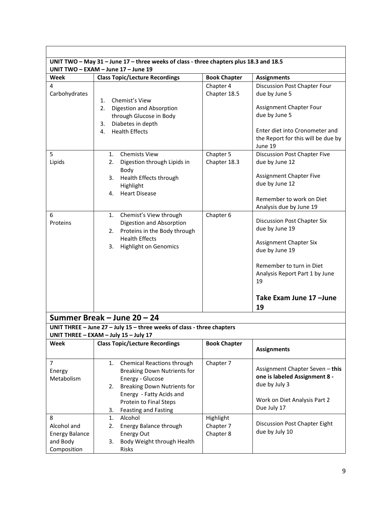| UNIT TWO - May 31 - June 17 - three weeks of class - three chapters plus 18.3 and 18.5 |                                                                                                                                                                                                                            |                                  |                                                                                                                                                                                                 |  |
|----------------------------------------------------------------------------------------|----------------------------------------------------------------------------------------------------------------------------------------------------------------------------------------------------------------------------|----------------------------------|-------------------------------------------------------------------------------------------------------------------------------------------------------------------------------------------------|--|
| Week                                                                                   | UNIT TWO - EXAM - June 17 - June 19                                                                                                                                                                                        |                                  |                                                                                                                                                                                                 |  |
| 4                                                                                      | <b>Class Topic/Lecture Recordings</b>                                                                                                                                                                                      | <b>Book Chapter</b><br>Chapter 4 | <b>Assignments</b><br><b>Discussion Post Chapter Four</b>                                                                                                                                       |  |
| Carbohydrates                                                                          | Chemist's View<br>1.<br>Digestion and Absorption<br>2.<br>through Glucose in Body<br>Diabetes in depth<br>3.<br><b>Health Effects</b><br>4.                                                                                | Chapter 18.5                     | due by June 5<br>Assignment Chapter Four<br>due by June 5<br>Enter diet into Cronometer and<br>the Report for this will be due by<br>June 19                                                    |  |
| 5                                                                                      | <b>Chemists View</b><br>1.                                                                                                                                                                                                 | Chapter 5                        | Discussion Post Chapter Five                                                                                                                                                                    |  |
| Lipids                                                                                 | Digestion through Lipids in<br>2.<br>Body<br>Health Effects through<br>3.<br>Highlight<br><b>Heart Disease</b><br>4.                                                                                                       | Chapter 18.3                     | due by June 12<br><b>Assignment Chapter Five</b><br>due by June 12<br>Remember to work on Diet<br>Analysis due by June 19                                                                       |  |
| 6<br>Proteins                                                                          | Chemist's View through<br>1.<br>Digestion and Absorption<br>Proteins in the Body through<br>2.<br><b>Health Effects</b><br>Highlight on Genomics<br>3.                                                                     | Chapter 6                        | Discussion Post Chapter Six<br>due by June 19<br>Assignment Chapter Six<br>due by June 19<br>Remember to turn in Diet<br>Analysis Report Part 1 by June<br>19<br>Take Exam June 17 - June<br>19 |  |
|                                                                                        | Summer Break - June 20 - 24                                                                                                                                                                                                |                                  |                                                                                                                                                                                                 |  |
|                                                                                        | UNIT THREE - June 27 - July 15 - three weeks of class - three chapters                                                                                                                                                     |                                  |                                                                                                                                                                                                 |  |
|                                                                                        | UNIT THREE - EXAM - July 15 - July 17                                                                                                                                                                                      |                                  |                                                                                                                                                                                                 |  |
| Week                                                                                   | <b>Class Topic/Lecture Recordings</b>                                                                                                                                                                                      | <b>Book Chapter</b>              | <b>Assignments</b>                                                                                                                                                                              |  |
| $\overline{7}$<br>Energy<br>Metabolism                                                 | Chemical Reactions through<br>1.<br><b>Breaking Down Nutrients for</b><br>Energy - Glucose<br><b>Breaking Down Nutrients for</b><br>2.<br>Energy - Fatty Acids and<br>Protein to Final Steps<br>Feasting and Fasting<br>3. | Chapter 7                        | Assignment Chapter Seven - this<br>one is labeled Assignment 8 -<br>due by July 3<br>Work on Diet Analysis Part 2<br>Due July 17                                                                |  |
| 8                                                                                      | Alcohol<br>1.                                                                                                                                                                                                              | Highlight                        |                                                                                                                                                                                                 |  |
| Alcohol and                                                                            | <b>Energy Balance through</b><br>2.                                                                                                                                                                                        | Chapter 7                        | Discussion Post Chapter Eight<br>due by July 10                                                                                                                                                 |  |
| <b>Energy Balance</b><br>and Body                                                      | Energy Out<br>Body Weight through Health<br>3.                                                                                                                                                                             | Chapter 8                        |                                                                                                                                                                                                 |  |
| Composition                                                                            | Risks                                                                                                                                                                                                                      |                                  |                                                                                                                                                                                                 |  |